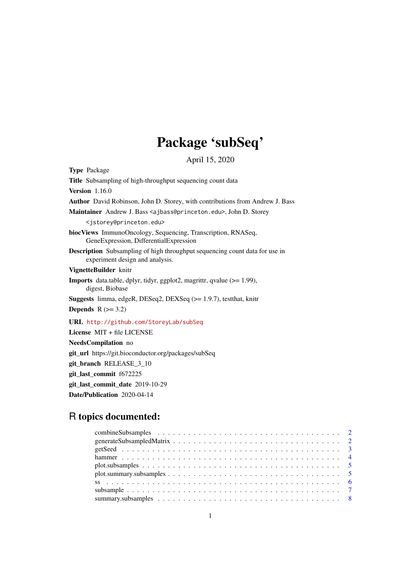# Package 'subSeq'

April 15, 2020

<span id="page-0-0"></span>Type Package Title Subsampling of high-throughput sequencing count data Version 1.16.0 Author David Robinson, John D. Storey, with contributions from Andrew J. Bass Maintainer Andrew J. Bass <ajbass@princeton.edu>, John D. Storey <jstorey@princeton.edu> biocViews ImmunoOncology, Sequencing, Transcription, RNASeq, GeneExpression, DifferentialExpression Description Subsampling of high throughput sequencing count data for use in experiment design and analysis. VignetteBuilder knitr Imports data.table, dplyr, tidyr, ggplot2, magrittr, qvalue (>= 1.99), digest, Biobase Suggests limma, edgeR, DESeq2, DEXSeq (>= 1.9.7), testthat, knitr Depends  $R$  ( $>= 3.2$ ) URL <http://github.com/StoreyLab/subSeq> License MIT + file LICENSE NeedsCompilation no git\_url https://git.bioconductor.org/packages/subSeq git\_branch RELEASE\_3\_10 git\_last\_commit f672225

git\_last\_commit\_date 2019-10-29

Date/Publication 2020-04-14

# R topics documented: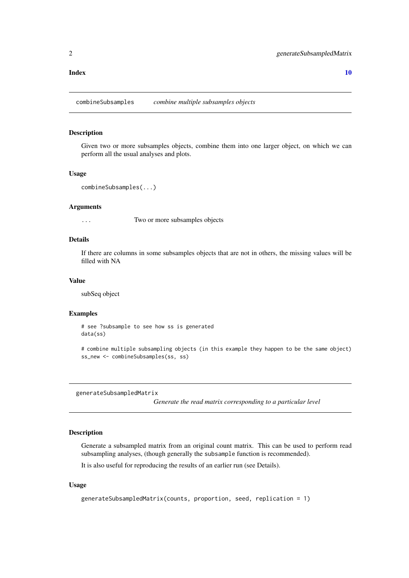#### <span id="page-1-0"></span> $\blacksquare$

combineSubsamples *combine multiple subsamples objects*

# Description

Given two or more subsamples objects, combine them into one larger object, on which we can perform all the usual analyses and plots.

# Usage

```
combineSubsamples(...)
```
#### Arguments

... Two or more subsamples objects

#### Details

If there are columns in some subsamples objects that are not in others, the missing values will be filled with NA

#### Value

subSeq object

# Examples

# see ?subsample to see how ss is generated data(ss)

# combine multiple subsampling objects (in this example they happen to be the same object) ss\_new <- combineSubsamples(ss, ss)

generateSubsampledMatrix

*Generate the read matrix corresponding to a particular level*

# Description

Generate a subsampled matrix from an original count matrix. This can be used to perform read subsampling analyses, (though generally the subsample function is recommended).

It is also useful for reproducing the results of an earlier run (see Details).

# Usage

```
generateSubsampledMatrix(counts, proportion, seed, replication = 1)
```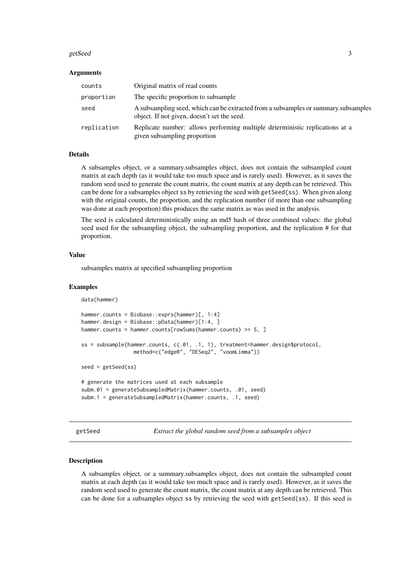#### <span id="page-2-0"></span>getSeed 3

#### Arguments

| counts      | Original matrix of read counts                                                                                                    |
|-------------|-----------------------------------------------------------------------------------------------------------------------------------|
| proportion  | The specific proportion to subsample                                                                                              |
| seed        | A subsampling seed, which can be extracted from a subsamples or summary.subsamples<br>object. If not given, doesn't set the seed. |
| replication | Replicate number: allows performing multiple deterministic replications at a<br>given subsampling proportion                      |

# Details

A subsamples object, or a summary.subsamples object, does not contain the subsampled count matrix at each depth (as it would take too much space and is rarely used). However, as it saves the random seed used to generate the count matrix, the count matrix at any depth can be retrieved. This can be done for a subsamples object ss by retrieving the seed with getSeed(ss). When given along with the original counts, the proportion, and the replication number (if more than one subsampling was done at each proportion) this produces the same matrix as was used in the analysis.

The seed is calculated deterministically using an md5 hash of three combined values: the global seed used for the subsampling object, the subsampling proportion, and the replication # for that proportion.

# Value

subsamples matrix at specified subsampling proportion

subm.1 = generateSubsampledMatrix(hammer.counts, .1, seed)

#### Examples

```
data(hammer)
```

```
hammer.counts = Biobase::exprs(hammer)[, 1:4]
hammer.design = Biobase::pData(hammer)[1:4, ]
hammer.counts = hammer.counts[rowSums(hammer.counts) >= 5, ]
ss = subsample(hammer.counts, c(.01, .1, 1), treatment=hammer.design$protocol,
                 method=c("edgeR", "DESeq2", "voomLimma"))
seed = getSeed(ss)
# generate the matrices used at each subsample
subm.01 = generateSubsampledMatrix(hammer.counts, .01, seed)
```
getSeed *Extract the global random seed from a subsamples object*

#### **Description**

A subsamples object, or a summary.subsamples object, does not contain the subsampled count matrix at each depth (as it would take too much space and is rarely used). However, as it saves the random seed used to generate the count matrix, the count matrix at any depth can be retrieved. This can be done for a subsamples object ss by retrieving the seed with getSeed(ss). If this seed is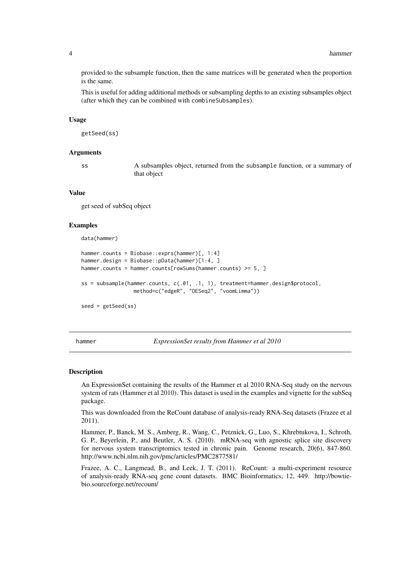provided to the subsample function, then the same matrices will be generated when the proportion is the same.

This is useful for adding additional methods or subsampling depths to an existing subsamples object (after which they can be combined with combineSubsamples).

#### Usage

getSeed(ss)

#### Arguments

ss A subsamples object, returned from the subsample function, or a summary of that object

# Value

get seed of subSeq object

#### Examples

```
data(hammer)
```
seed = getSeed(ss)

```
hammer.counts = Biobase::exprs(hammer)[, 1:4]
hammer.design = Biobase::pData(hammer)[1:4, ]
hammer.counts = hammer.counts[rowSums(hammer.counts) >= 5, ]
ss = subsample(hammer.counts, c(.01, .1, 1), treatment=hammer.design$protocol,
                 method=c("edgeR", "DESeq2", "voomLimma"))
```
<span id="page-3-1"></span>

hammer *ExpressionSet results from Hammer et al 2010*

#### Description

An ExpressionSet containing the results of the Hammer et al 2010 RNA-Seq study on the nervous system of rats (Hammer et al 2010). This dataset is used in the examples and vignette for the subSeq package.

This was downloaded from the ReCount database of analysis-ready RNA-Seq datasets (Frazee et al 2011).

Hammer, P., Banck, M. S., Amberg, R., Wang, C., Petznick, G., Luo, S., Khrebtukova, I., Schroth, G. P., Beyerlein, P., and Beutler, A. S. (2010). mRNA-seq with agnostic splice site discovery for nervous system transcriptomics tested in chronic pain. Genome research, 20(6), 847-860. http://www.ncbi.nlm.nih.gov/pmc/articles/PMC2877581/

Frazee, A. C., Langmead, B., and Leek, J. T. (2011). ReCount: a multi-experiment resource of analysis-ready RNA-seq gene count datasets. BMC Bioinformatics, 12, 449. http://bowtiebio.sourceforge.net/recount/

<span id="page-3-0"></span>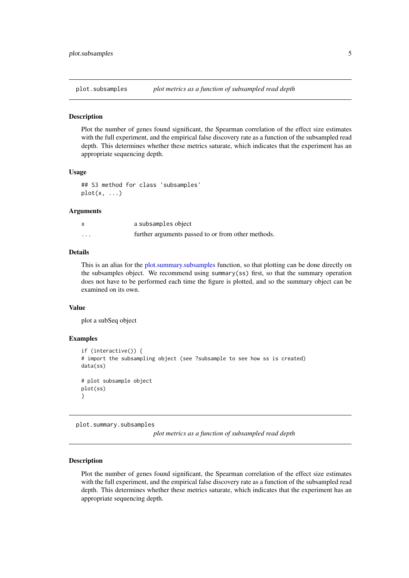<span id="page-4-0"></span>plot.subsamples *plot metrics as a function of subsampled read depth*

#### Description

Plot the number of genes found significant, the Spearman correlation of the effect size estimates with the full experiment, and the empirical false discovery rate as a function of the subsampled read depth. This determines whether these metrics saturate, which indicates that the experiment has an appropriate sequencing depth.

#### Usage

```
## S3 method for class 'subsamples'
plot(x, \ldots)
```
#### Arguments

|          | a subsamples object                                |
|----------|----------------------------------------------------|
| $\cdots$ | further arguments passed to or from other methods. |

# Details

This is an alias for the [plot.summary.subsamples](#page-4-1) function, so that plotting can be done directly on the subsamples object. We recommend using summary(ss) first, so that the summary operation does not have to be performed each time the figure is plotted, and so the summary object can be examined on its own.

#### Value

plot a subSeq object

#### Examples

```
if (interactive()) {
# import the subsampling object (see ?subsample to see how ss is created)
data(ss)
# plot subsample object
plot(ss)
}
```
<span id="page-4-1"></span>plot.summary.subsamples

*plot metrics as a function of subsampled read depth*

# Description

Plot the number of genes found significant, the Spearman correlation of the effect size estimates with the full experiment, and the empirical false discovery rate as a function of the subsampled read depth. This determines whether these metrics saturate, which indicates that the experiment has an appropriate sequencing depth.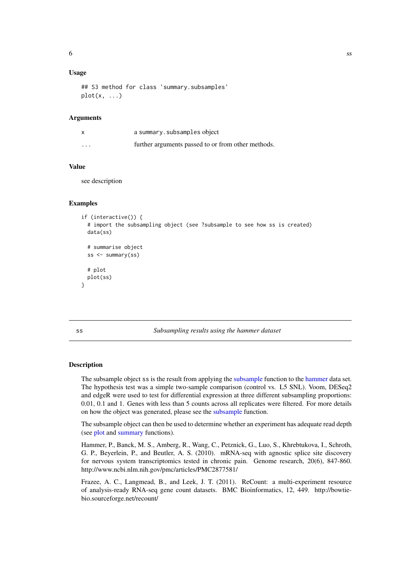# <span id="page-5-0"></span>Usage

```
## S3 method for class 'summary.subsamples'
plot(x, \ldots)
```
# Arguments

|          | a summary.subsamples object                        |
|----------|----------------------------------------------------|
| $\cdots$ | further arguments passed to or from other methods. |

# Value

see description

#### Examples

```
if (interactive()) {
  # import the subsampling object (see ?subsample to see how ss is created)
  data(ss)
  # summarise object
  ss <- summary(ss)
  # plot
 plot(ss)
}
```
#### ss *Subsampling results using the hammer dataset*

# Description

The subsample object ss is the result from applying the [subsample](#page-6-1) function to the [hammer](#page-3-1) data set. The hypothesis test was a simple two-sample comparison (control vs. L5 SNL). Voom, DESeq2 and edgeR were used to test for differential expression at three different subsampling proportions: 0.01, 0.1 and 1. Genes with less than 5 counts across all replicates were filtered. For more details on how the object was generated, please see the [subsample](#page-6-1) function.

The subsample object can then be used to determine whether an experiment has adequate read depth (see [plot](#page-0-0) and [summary](#page-0-0) functions).

Hammer, P., Banck, M. S., Amberg, R., Wang, C., Petznick, G., Luo, S., Khrebtukova, I., Schroth, G. P., Beyerlein, P., and Beutler, A. S. (2010). mRNA-seq with agnostic splice site discovery for nervous system transcriptomics tested in chronic pain. Genome research, 20(6), 847-860. http://www.ncbi.nlm.nih.gov/pmc/articles/PMC2877581/

Frazee, A. C., Langmead, B., and Leek, J. T. (2011). ReCount: a multi-experiment resource of analysis-ready RNA-seq gene count datasets. BMC Bioinformatics, 12, 449. http://bowtiebio.sourceforge.net/recount/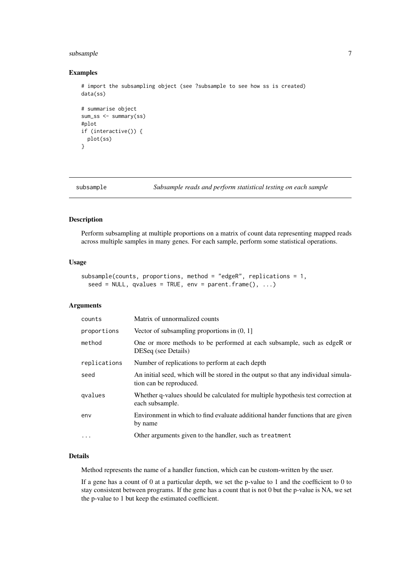#### <span id="page-6-0"></span>subsample 7 and 7 and 7 and 7 and 7 and 7 and 7 and 7 and 7 and 7 and 7 and 7 and 7 and 7 and 7 and 7 and 7 and 7 and 7 and 7 and 7 and 7 and 7 and 7 and 7 and 7 and 7 and 7 and 7 and 7 and 7 and 7 and 7 and 7 and 7 and 7

## Examples

```
# import the subsampling object (see ?subsample to see how ss is created)
data(ss)
# summarise object
sum_ss <- summary(ss)
#plot
if (interactive()) {
 plot(ss)
}
```
<span id="page-6-1"></span>

subsample *Subsample reads and perform statistical testing on each sample*

#### Description

Perform subsampling at multiple proportions on a matrix of count data representing mapped reads across multiple samples in many genes. For each sample, perform some statistical operations.

# Usage

```
subsample(counts, proportions, method = "edgeR", replications = 1,
  seed = NULL, qvalues = TRUE, env = parent.frame(), \dots)
```
# Arguments

| counts       | Matrix of unnormalized counts                                                                                 |
|--------------|---------------------------------------------------------------------------------------------------------------|
| proportions  | Vector of subsampling proportions in $(0, 1]$                                                                 |
| method       | One or more methods to be performed at each subsample, such as edgeR or<br>DESeq (see Details)                |
| replications | Number of replications to perform at each depth                                                               |
| seed         | An initial seed, which will be stored in the output so that any individual simula-<br>tion can be reproduced. |
| gvalues      | Whether q-values should be calculated for multiple hypothesis test correction at<br>each subsample.           |
| env          | Environment in which to find evaluate additional hander functions that are given<br>by name                   |
| $\ddotsc$    | Other arguments given to the handler, such as treatment                                                       |

#### Details

Method represents the name of a handler function, which can be custom-written by the user.

If a gene has a count of 0 at a particular depth, we set the p-value to 1 and the coefficient to 0 to stay consistent between programs. If the gene has a count that is not 0 but the p-value is NA, we set the p-value to 1 but keep the estimated coefficient.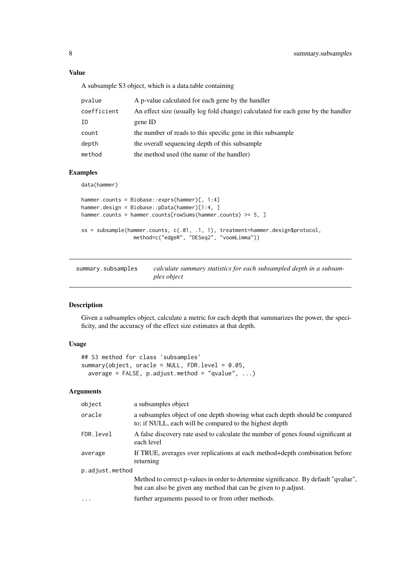# Value

A subsample S3 object, which is a data.table containing

| pvalue      | A p-value calculated for each gene by the handler                                |
|-------------|----------------------------------------------------------------------------------|
| coefficient | An effect size (usually log fold change) calculated for each gene by the handler |
| ID          | gene ID                                                                          |
| count       | the number of reads to this specific gene in this subsample                      |
| depth       | the overall sequencing depth of this subsample                                   |
| method      | the method used (the name of the handler)                                        |

# Examples

data(hammer)

```
hammer.counts = Biobase::exprs(hammer)[, 1:4]
hammer.design = Biobase::pData(hammer)[1:4, ]
hammer.counts = hammer.counts[rowSums(hammer.counts) >= 5, ]
ss = subsample(hammer.counts, c(.01, .1, 1), treatment=hammer.design$protocol,
                 method=c("edgeR", "DESeq2", "voomLimma"))
```

| summary.subsamples | calculate summary statistics for each subsampled depth in a subsam- |
|--------------------|---------------------------------------------------------------------|
|                    | ples object                                                         |

# Description

Given a subsamples object, calculate a metric for each depth that summarizes the power, the specificity, and the accuracy of the effect size estimates at that depth.

# Usage

```
## S3 method for class 'subsamples'
summary(object, oracle = NULL, FDR.level = 0.05,
 average = FALSE, p.addjust.method = "qvalue", ...)
```
# Arguments

| object          | a subsamples object                                                                                                                                    |
|-----------------|--------------------------------------------------------------------------------------------------------------------------------------------------------|
| oracle          | a subsamples object of one depth showing what each depth should be compared<br>to; if NULL, each will be compared to the highest depth                 |
| FDR. level      | A false discovery rate used to calculate the number of genes found significant at<br>each level                                                        |
| average         | If TRUE, averages over replications at each method+depth combination before<br>returning                                                               |
| p.adjust.method |                                                                                                                                                        |
|                 | Method to correct p-values in order to determine significance. By default "qvalue",<br>but can also be given any method that can be given to p.adjust. |
| $\cdot$         | further arguments passed to or from other methods.                                                                                                     |
|                 |                                                                                                                                                        |

<span id="page-7-0"></span>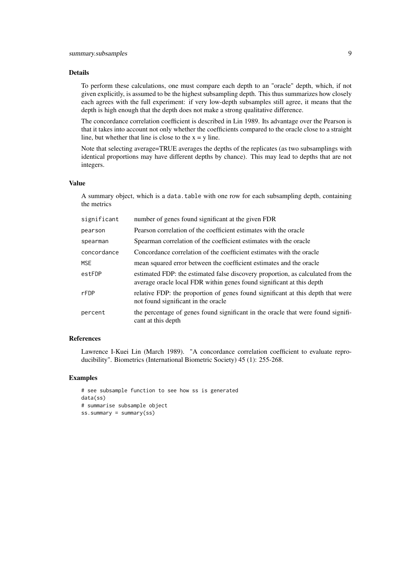# Details

To perform these calculations, one must compare each depth to an "oracle" depth, which, if not given explicitly, is assumed to be the highest subsampling depth. This thus summarizes how closely each agrees with the full experiment: if very low-depth subsamples still agree, it means that the depth is high enough that the depth does not make a strong qualitative difference.

The concordance correlation coefficient is described in Lin 1989. Its advantage over the Pearson is that it takes into account not only whether the coefficients compared to the oracle close to a straight line, but whether that line is close to the  $x = y$  line.

Note that selecting average=TRUE averages the depths of the replicates (as two subsamplings with identical proportions may have different depths by chance). This may lead to depths that are not integers.

#### Value

A summary object, which is a data.table with one row for each subsampling depth, containing the metrics

| significant | number of genes found significant at the given FDR                                                                                                       |
|-------------|----------------------------------------------------------------------------------------------------------------------------------------------------------|
| pearson     | Pearson correlation of the coefficient estimates with the oracle                                                                                         |
| spearman    | Spearman correlation of the coefficient estimates with the oracle                                                                                        |
| concordance | Concordance correlation of the coefficient estimates with the oracle                                                                                     |
| <b>MSE</b>  | mean squared error between the coefficient estimates and the oracle                                                                                      |
| estFDP      | estimated FDP: the estimated false discovery proportion, as calculated from the<br>average oracle local FDR within genes found significant at this depth |
| rFDP        | relative FDP: the proportion of genes found significant at this depth that were<br>not found significant in the oracle                                   |
| percent     | the percentage of genes found significant in the oracle that were found signifi-<br>cant at this depth                                                   |
|             |                                                                                                                                                          |

#### References

Lawrence I-Kuei Lin (March 1989). "A concordance correlation coefficient to evaluate reproducibility". Biometrics (International Biometric Society) 45 (1): 255-268.

#### Examples

```
# see subsample function to see how ss is generated
data(ss)
# summarise subsample object
ss.summary = summary(ss)
```